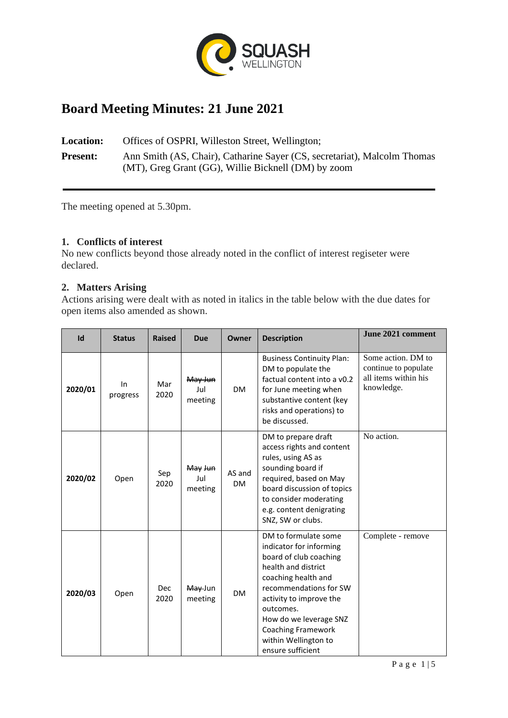

# **Board Meeting Minutes: 21 June 2021**

**Location:** Offices of OSPRI, Willeston Street, Wellington; **Present:** Ann Smith (AS, Chair), Catharine Sayer (CS, secretariat), Malcolm Thomas (MT), Greg Grant (GG), Willie Bicknell (DM) by zoom

The meeting opened at 5.30pm.

# **1. Conflicts of interest**

No new conflicts beyond those already noted in the conflict of interest regiseter were declared.

# **2. Matters Arising**

Actions arising were dealt with as noted in italics in the table below with the due dates for open items also amended as shown.

| Id      | <b>Status</b>  | <b>Raised</b> | <b>Due</b>                | Owner               | <b>Description</b>                                                                                                                                                                                                                                                                            | June 2021 comment                                                                |
|---------|----------------|---------------|---------------------------|---------------------|-----------------------------------------------------------------------------------------------------------------------------------------------------------------------------------------------------------------------------------------------------------------------------------------------|----------------------------------------------------------------------------------|
| 2020/01 | In<br>progress | Mar<br>2020   | May Jun<br>Jul<br>meeting | <b>DM</b>           | <b>Business Continuity Plan:</b><br>DM to populate the<br>factual content into a v0.2<br>for June meeting when<br>substantive content (key<br>risks and operations) to<br>be discussed.                                                                                                       | Some action. DM to<br>continue to populate<br>all items within his<br>knowledge. |
| 2020/02 | Open           | Sep<br>2020   | May Jun<br>Jul<br>meeting | AS and<br><b>DM</b> | DM to prepare draft<br>access rights and content<br>rules, using AS as<br>sounding board if<br>required, based on May<br>board discussion of topics<br>to consider moderating<br>e.g. content denigrating<br>SNZ, SW or clubs.                                                                | No action.                                                                       |
| 2020/03 | Open           | Dec<br>2020   | May Jun<br>meeting        | <b>DM</b>           | DM to formulate some<br>indicator for informing<br>board of club coaching<br>health and district<br>coaching health and<br>recommendations for SW<br>activity to improve the<br>outcomes.<br>How do we leverage SNZ<br><b>Coaching Framework</b><br>within Wellington to<br>ensure sufficient | Complete - remove                                                                |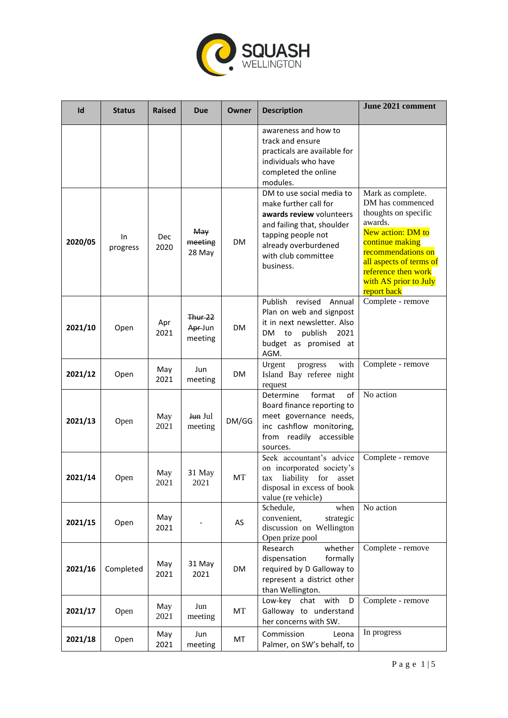

| Id      | <b>Status</b>  | <b>Raised</b> | Due                                  | Owner     | <b>Description</b>                                                                                                                                                                             | June 2021 comment                                                                                                                                                                                                                |
|---------|----------------|---------------|--------------------------------------|-----------|------------------------------------------------------------------------------------------------------------------------------------------------------------------------------------------------|----------------------------------------------------------------------------------------------------------------------------------------------------------------------------------------------------------------------------------|
|         |                |               |                                      |           | awareness and how to<br>track and ensure<br>practicals are available for<br>individuals who have<br>completed the online<br>modules.                                                           |                                                                                                                                                                                                                                  |
| 2020/05 | In<br>progress | Dec<br>2020   | May<br>meeting<br>28 May             | <b>DM</b> | DM to use social media to<br>make further call for<br>awards review volunteers<br>and failing that, shoulder<br>tapping people not<br>already overburdened<br>with club committee<br>business. | Mark as complete.<br>DM has commenced<br>thoughts on specific<br>awards.<br>New action: DM to<br>continue making<br>recommendations on<br>all aspects of terms of<br>reference then work<br>with AS prior to July<br>report back |
| 2021/10 | Open           | Apr<br>2021   | <b>Thur 22</b><br>Apr-Jun<br>meeting | <b>DM</b> | Publish<br>revised<br>Annual<br>Plan on web and signpost<br>it in next newsletter. Also<br>publish<br>DM<br>to<br>2021<br>budget as promised at<br>AGM.                                        | Complete - remove                                                                                                                                                                                                                |
| 2021/12 | Open           | May<br>2021   | Jun<br>meeting                       | <b>DM</b> | with<br>Urgent<br>progress<br>Island Bay referee night<br>request                                                                                                                              | Complete - remove                                                                                                                                                                                                                |
| 2021/13 | Open           | May<br>2021   | Jun Jul<br>meeting                   | DM/GG     | format<br>of<br>Determine<br>Board finance reporting to<br>meet governance needs,<br>inc cashflow monitoring,<br>from readily accessible<br>sources.                                           | No action                                                                                                                                                                                                                        |
| 2021/14 | Open           | May<br>2021   | 31 May<br>2021                       | МT        | Seek accountant's advice<br>on incorporated society's<br>liability<br>for<br>asset<br>tax<br>disposal in excess of book<br>value (re vehicle)                                                  | Complete - remove                                                                                                                                                                                                                |
| 2021/15 | Open           | May<br>2021   |                                      | AS        | Schedule,<br>when<br>convenient,<br>strategic<br>discussion on Wellington<br>Open prize pool                                                                                                   | No action                                                                                                                                                                                                                        |
| 2021/16 | Completed      | May<br>2021   | 31 May<br>2021                       | <b>DM</b> | Research<br>whether<br>dispensation<br>formally<br>required by D Galloway to<br>represent a district other<br>than Wellington.                                                                 | Complete - remove                                                                                                                                                                                                                |
| 2021/17 | Open           | May<br>2021   | Jun<br>meeting                       | МT        | Low-key chat with<br>D<br>Galloway to understand<br>her concerns with SW.                                                                                                                      | Complete - remove                                                                                                                                                                                                                |
| 2021/18 | Open           | May<br>2021   | Jun<br>meeting                       | MT        | Commission<br>Leona<br>Palmer, on SW's behalf, to                                                                                                                                              | In progress                                                                                                                                                                                                                      |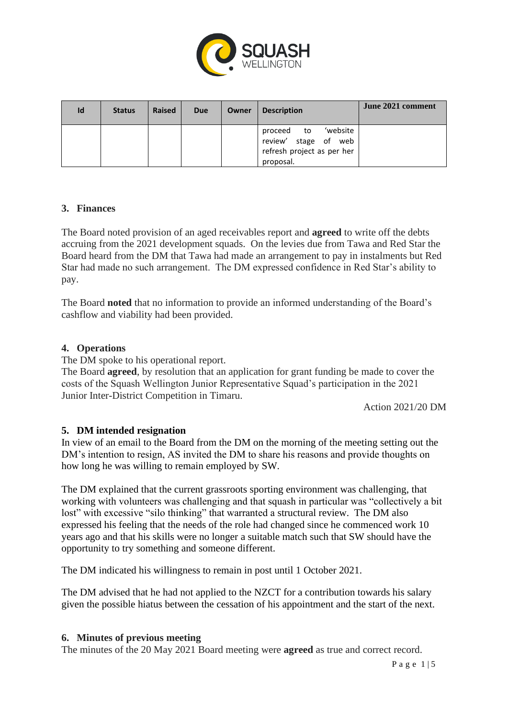

| Id | <b>Status</b> | <b>Raised</b> | <b>Due</b> | Owner | <b>Description</b>                                                                           | June 2021 comment |
|----|---------------|---------------|------------|-------|----------------------------------------------------------------------------------------------|-------------------|
|    |               |               |            |       | 'website<br>proceed<br>to<br>review' stage of web<br>refresh project as per her<br>proposal. |                   |

# **3. Finances**

The Board noted provision of an aged receivables report and **agreed** to write off the debts accruing from the 2021 development squads. On the levies due from Tawa and Red Star the Board heard from the DM that Tawa had made an arrangement to pay in instalments but Red Star had made no such arrangement. The DM expressed confidence in Red Star's ability to pay.

The Board **noted** that no information to provide an informed understanding of the Board's cashflow and viability had been provided.

#### **4. Operations**

The DM spoke to his operational report.

The Board **agreed**, by resolution that an application for grant funding be made to cover the costs of the Squash Wellington Junior Representative Squad's participation in the 2021 Junior Inter-District Competition in Timaru.

Action 2021/20 DM

#### **5. DM intended resignation**

In view of an email to the Board from the DM on the morning of the meeting setting out the DM's intention to resign, AS invited the DM to share his reasons and provide thoughts on how long he was willing to remain employed by SW.

The DM explained that the current grassroots sporting environment was challenging, that working with volunteers was challenging and that squash in particular was "collectively a bit lost" with excessive "silo thinking" that warranted a structural review. The DM also expressed his feeling that the needs of the role had changed since he commenced work 10 years ago and that his skills were no longer a suitable match such that SW should have the opportunity to try something and someone different.

The DM indicated his willingness to remain in post until 1 October 2021.

The DM advised that he had not applied to the NZCT for a contribution towards his salary given the possible hiatus between the cessation of his appointment and the start of the next.

#### **6. Minutes of previous meeting**

The minutes of the 20 May 2021 Board meeting were **agreed** as true and correct record.